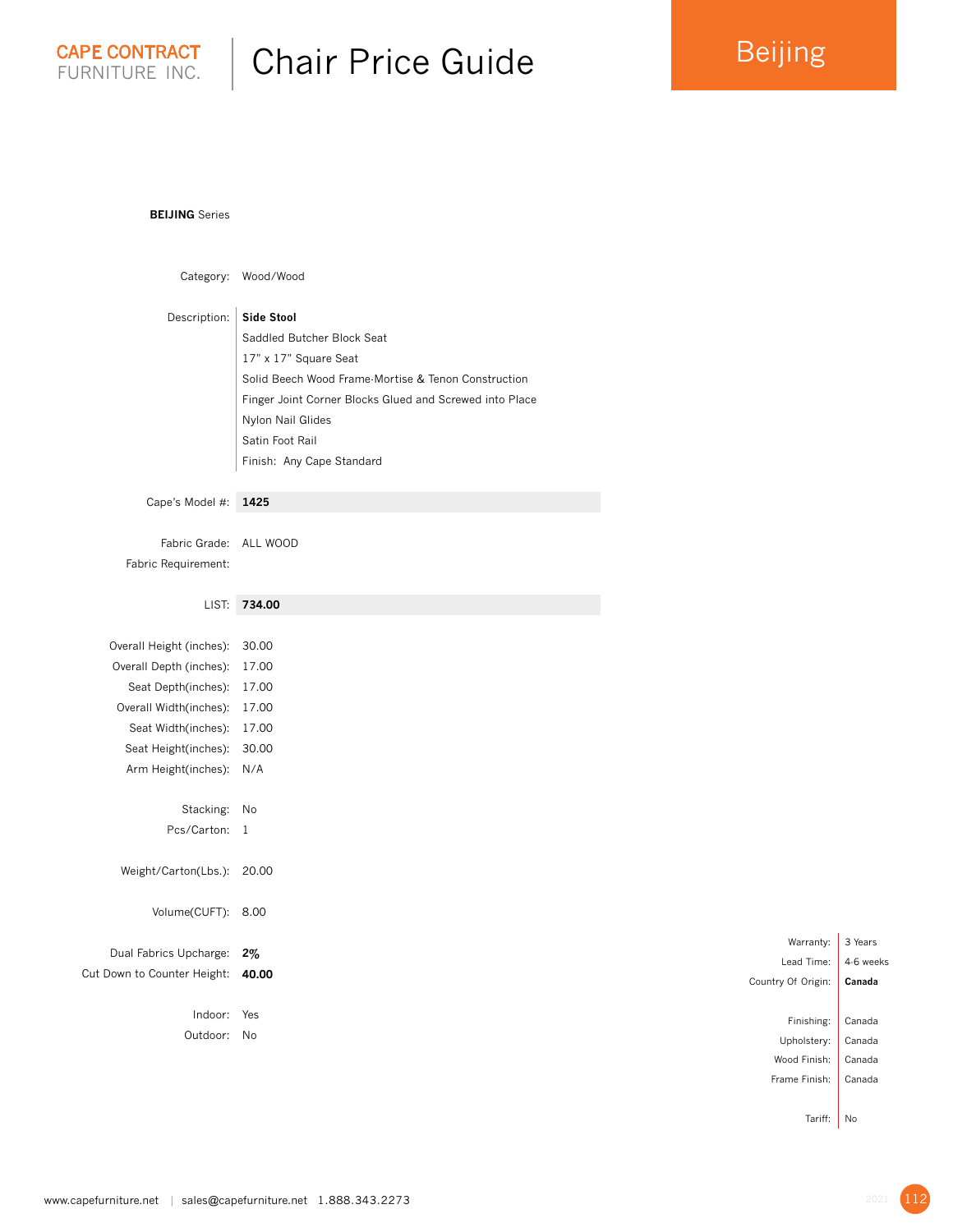

## Chair Price Guide

## **BEIJING** Series

| Category:                                                                                                                                                                  | Wood/Wood                                                                                                                                                                                                                                                       |
|----------------------------------------------------------------------------------------------------------------------------------------------------------------------------|-----------------------------------------------------------------------------------------------------------------------------------------------------------------------------------------------------------------------------------------------------------------|
| Description:                                                                                                                                                               | <b>Side Stool</b><br>Saddled Butcher Block Seat<br>17" x 17" Square Seat<br>Solid Beech Wood Frame-Mortise & Tenon Construction<br>Finger Joint Corner Blocks Glued and Screwed into Place<br>Nylon Nail Glides<br>Satin Foot Rail<br>Finish: Any Cape Standard |
| Cape's Model #:                                                                                                                                                            | 1425                                                                                                                                                                                                                                                            |
| Fabric Grade:<br>Fabric Requirement:                                                                                                                                       | ALL WOOD                                                                                                                                                                                                                                                        |
| LIST:                                                                                                                                                                      | 734.00                                                                                                                                                                                                                                                          |
| Overall Height (inches):<br>Overall Depth (inches):<br>Seat Depth(inches):<br>Overall Width(inches):<br>Seat Width(inches):<br>Seat Height(inches):<br>Arm Height(inches): | 30.00<br>17.00<br>17.00<br>17.00<br>17.00<br>30.00<br>N/A                                                                                                                                                                                                       |
| Stacking:                                                                                                                                                                  | No                                                                                                                                                                                                                                                              |
| Pcs/Carton:                                                                                                                                                                | 1                                                                                                                                                                                                                                                               |
| Weight/Carton(Lbs.):                                                                                                                                                       | 20.00                                                                                                                                                                                                                                                           |
| Volume(CUFT):                                                                                                                                                              | 8.00                                                                                                                                                                                                                                                            |
| Dual Fabrics Upcharge:<br>Cut Down to Counter Height:                                                                                                                      | $2\%$<br>40.00                                                                                                                                                                                                                                                  |
| Indoor:                                                                                                                                                                    | Yes                                                                                                                                                                                                                                                             |

Outdoor: No

Lead Time: 4-6 weeks Country Of Origin: **Canada**  Finishing: Canada Upholstery: Canada Wood Finish: Canada Frame Finish: Canada

Warranty: 3 Years

Tariff: No